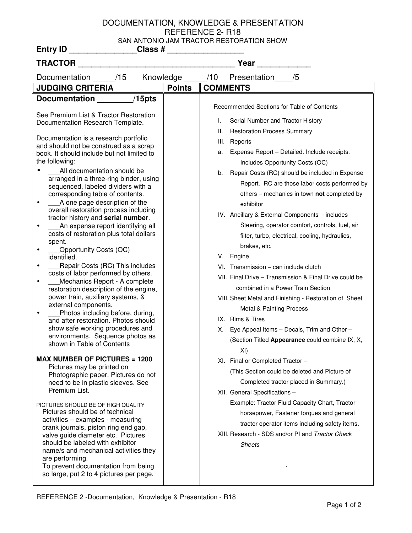## DOCUMENTATION, KNOWLEDGE & PRESENTATION REFERENCE 2- R18 SAN ANTONIO JAM TRACTOR RESTORATION SHOW **Entry ID \_\_\_\_\_\_\_\_\_\_\_\_\_\_\_Class # \_\_\_\_\_\_\_\_\_\_\_\_\_\_\_\_\_**

| TRACTOR                                                                                                                                                                                                                                                                                                                                                                                                                                                                                                                                                                                                                                                                                                                                                                                                                                                                                                                                                                                                                                                                                                            |               | Year                                                                                                                                                                                                                                                                                                                                                                                                                                                                                                                                                                                                                                                                                                                                                                                                                                                                                                                                                                           |
|--------------------------------------------------------------------------------------------------------------------------------------------------------------------------------------------------------------------------------------------------------------------------------------------------------------------------------------------------------------------------------------------------------------------------------------------------------------------------------------------------------------------------------------------------------------------------------------------------------------------------------------------------------------------------------------------------------------------------------------------------------------------------------------------------------------------------------------------------------------------------------------------------------------------------------------------------------------------------------------------------------------------------------------------------------------------------------------------------------------------|---------------|--------------------------------------------------------------------------------------------------------------------------------------------------------------------------------------------------------------------------------------------------------------------------------------------------------------------------------------------------------------------------------------------------------------------------------------------------------------------------------------------------------------------------------------------------------------------------------------------------------------------------------------------------------------------------------------------------------------------------------------------------------------------------------------------------------------------------------------------------------------------------------------------------------------------------------------------------------------------------------|
| /15<br>Knowledge<br>Documentation                                                                                                                                                                                                                                                                                                                                                                                                                                                                                                                                                                                                                                                                                                                                                                                                                                                                                                                                                                                                                                                                                  |               | /10<br>Presentation<br>/5                                                                                                                                                                                                                                                                                                                                                                                                                                                                                                                                                                                                                                                                                                                                                                                                                                                                                                                                                      |
| <b>JUDGING CRITERIA</b>                                                                                                                                                                                                                                                                                                                                                                                                                                                                                                                                                                                                                                                                                                                                                                                                                                                                                                                                                                                                                                                                                            | <b>Points</b> | <b>COMMENTS</b>                                                                                                                                                                                                                                                                                                                                                                                                                                                                                                                                                                                                                                                                                                                                                                                                                                                                                                                                                                |
| $/15$ pts<br><b>Documentation</b><br>See Premium List & Tractor Restoration<br>Documentation Research Template.<br>Documentation is a research portfolio<br>and should not be construed as a scrap<br>book. It should include but not limited to<br>the following:<br>All documentation should be<br>arranged in a three-ring binder, using<br>sequenced, labeled dividers with a<br>corresponding table of contents.<br>A one page description of the<br>٠<br>overall restoration process including<br>tractor history and serial number.<br>An expense report identifying all<br>$\bullet$<br>costs of restoration plus total dollars<br>spent.<br>Opportunity Costs (OC)<br>٠<br>identified.<br>Repair Costs (RC) This includes<br>٠<br>costs of labor performed by others.<br>Mechanics Report - A complete<br>٠<br>restoration description of the engine,<br>power train, auxiliary systems, &<br>external components.<br>Photos including before, during,<br>٠<br>and after restoration. Photos should<br>show safe working procedures and<br>environments. Sequence photos as<br>shown in Table of Contents |               | Recommended Sections for Table of Contents<br>Serial Number and Tractor History<br>I.<br><b>Restoration Process Summary</b><br>ΙΙ.<br>III.<br>Reports<br>Expense Report - Detailed. Include receipts.<br>a.<br>Includes Opportunity Costs (OC)<br>Repair Costs (RC) should be included in Expense<br>b.<br>Report. RC are those labor costs performed by<br>others - mechanics in town not completed by<br>exhibitor<br>IV. Ancillary & External Components - includes<br>Steering, operator comfort, controls, fuel, air<br>filter, turbo, electrical, cooling, hydraulics,<br>brakes, etc.<br>V. Engine<br>VI. Transmission - can include clutch<br>VII. Final Drive - Transmission & Final Drive could be<br>combined in a Power Train Section<br>VIII. Sheet Metal and Finishing - Restoration of Sheet<br><b>Metal &amp; Painting Process</b><br>IX. Rims & Tires<br>Eye Appeal Items - Decals, Trim and Other -<br>Х.<br>(Section Titled Appearance could combine IX, X, |
| <b>MAX NUMBER OF PICTURES = 1200</b><br>Pictures may be printed on<br>Photographic paper. Pictures do not<br>need to be in plastic sleeves. See<br>Premium List.<br>PICTURES SHOULD BE OF HIGH QUALITY<br>Pictures should be of technical<br>activities - examples - measuring<br>crank journals, piston ring end gap,<br>valve guide diameter etc. Pictures<br>should be labeled with exhibitor<br>name/s and mechanical activities they<br>are performing.<br>To prevent documentation from being<br>so large, put 2 to 4 pictures per page.                                                                                                                                                                                                                                                                                                                                                                                                                                                                                                                                                                     |               | XI)<br>XI. Final or Completed Tractor<br>(This Section could be deleted and Picture of<br>Completed tractor placed in Summary.)<br>XII. General Specifications -<br>Example: Tractor Fluid Capacity Chart, Tractor<br>horsepower, Fastener torques and general<br>tractor operator items including safety items.<br>XIII. Research - SDS and/or PI and Tractor Check<br><b>Sheets</b>                                                                                                                                                                                                                                                                                                                                                                                                                                                                                                                                                                                          |